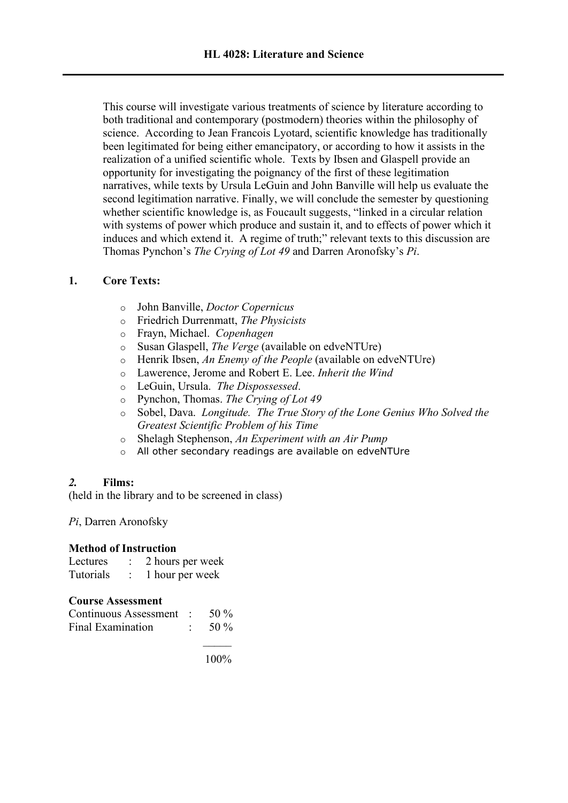This course will investigate various treatments of science by literature according to both traditional and contemporary (postmodern) theories within the philosophy of science. According to Jean Francois Lyotard, scientific knowledge has traditionally been legitimated for being either emancipatory, or according to how it assists in the realization of a unified scientific whole. Texts by Ibsen and Glaspell provide an opportunity for investigating the poignancy of the first of these legitimation narratives, while texts by Ursula LeGuin and John Banville will help us evaluate the second legitimation narrative. Finally, we will conclude the semester by questioning whether scientific knowledge is, as Foucault suggests, "linked in a circular relation with systems of power which produce and sustain it, and to effects of power which it induces and which extend it. A regime of truth;" relevant texts to this discussion are Thomas Pynchon's *The Crying of Lot 49* and Darren Aronofsky's *Pi*.

# **1. Core Texts:**

- o John Banville, *Doctor Copernicus*
- o Friedrich Durrenmatt, *The Physicists*
- o Frayn, Michael. *Copenhagen*
- o Susan Glaspell, *The Verge* (available on edveNTUre)
- o Henrik Ibsen, *An Enemy of the People* (available on edveNTUre)
- o Lawerence, Jerome and Robert E. Lee. *Inherit the Wind*
- o LeGuin, Ursula. *The Dispossessed*.
- o Pynchon, Thomas. *The Crying of Lot 49*
- o Sobel, Dava. *Longitude. The True Story of the Lone Genius Who Solved the Greatest Scientific Problem of his Time*
- o Shelagh Stephenson, *An Experiment with an Air Pump*
- o All other secondary readings are available on edveNTUre

## *2.* **Films:**

(held in the library and to be screened in class)

*Pi*, Darren Aronofsky

## **Method of Instruction**

| Lectures  | 2 hours per week |
|-----------|------------------|
| Tutorials | 1 hour per week  |

## **Course Assessment**

| Continuous Assessment : | 50 %    |
|-------------------------|---------|
| Final Examination       | 50 $\%$ |

 $\mathcal{L}$ 100%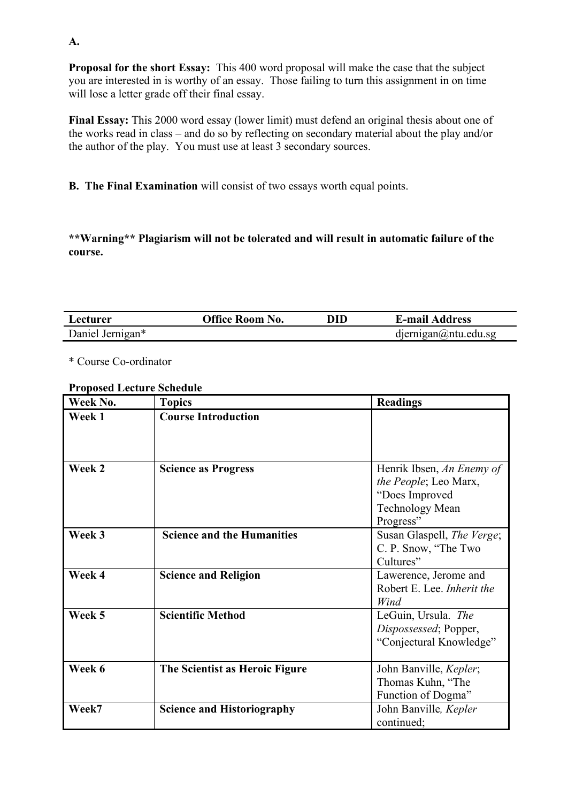**Proposal for the short Essay:** This 400 word proposal will make the case that the subject you are interested in is worthy of an essay. Those failing to turn this assignment in on time will lose a letter grade off their final essay.

**Final Essay:** This 2000 word essay (lower limit) must defend an original thesis about one of the works read in class – and do so by reflecting on secondary material about the play and/or the author of the play. You must use at least 3 secondary sources.

**B. The Final Examination** will consist of two essays worth equal points.

**\*\*Warning\*\* Plagiarism will not be tolerated and will result in automatic failure of the course.**

| <i>L</i> ecturer | Office Room No. | DID | <b>E-mail Address</b>      |
|------------------|-----------------|-----|----------------------------|
| Daniel Jernigan* |                 |     | $d$ ernigan $@$ ntu.edu.sg |

\* Course Co-ordinator

## **Proposed Lecture Schedule**

| Week No. | <b>Topics</b>                     | <b>Readings</b>            |
|----------|-----------------------------------|----------------------------|
| Week 1   | <b>Course Introduction</b>        |                            |
|          |                                   |                            |
|          |                                   |                            |
| Week 2   | <b>Science as Progress</b>        | Henrik Ibsen, An Enemy of  |
|          |                                   | the People; Leo Marx,      |
|          |                                   | "Does Improved             |
|          |                                   | <b>Technology Mean</b>     |
|          |                                   | Progress"                  |
| Week 3   | <b>Science and the Humanities</b> | Susan Glaspell, The Verge; |
|          |                                   | C. P. Snow, "The Two       |
|          |                                   | Cultures"                  |
| Week 4   | <b>Science and Religion</b>       | Lawerence, Jerome and      |
|          |                                   | Robert E. Lee. Inherit the |
|          |                                   | Wind                       |
| Week 5   | <b>Scientific Method</b>          | LeGuin, Ursula. The        |
|          |                                   | Dispossessed; Popper,      |
|          |                                   | "Conjectural Knowledge"    |
|          |                                   |                            |
| Week 6   | The Scientist as Heroic Figure    | John Banville, Kepler;     |
|          |                                   | Thomas Kuhn, "The          |
|          |                                   | Function of Dogma"         |
| Week7    | <b>Science and Historiography</b> | John Banville, Kepler      |
|          |                                   | continued;                 |

**A.**